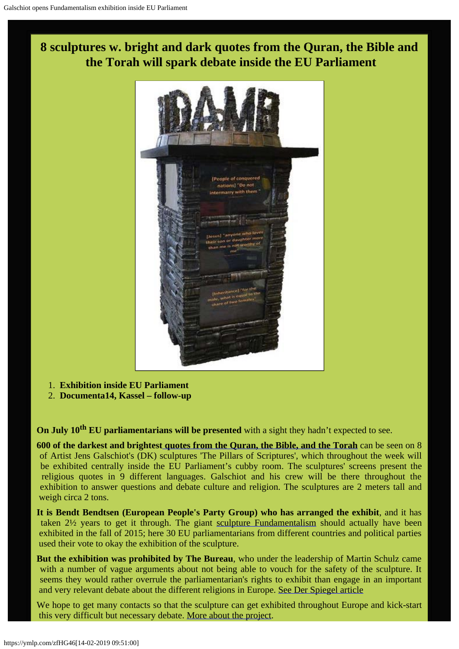



- 1. **Exhibition inside EU Parliament**
- 2. **Documenta14, Kassel follow-up**

**On July 10<sup>th</sup> EU parliamentarians will be presented** with a sight they hadn't expected to see.

**600 of the darkest and brightes[t quotes from the Quran, the Bible, and the Torah](http://fundamentalism.dk/quotesearch/index.php?lang=GB)** can be seen on 8 of Artist Jens Galschiot's (DK) sculptures 'The Pillars of Scriptures', which throughout the week will be exhibited centrally inside the EU Parliament's cubby room. The sculptures' screens present the religious quotes in 9 different languages. Galschiot and his crew will be there throughout the exhibition to answer questions and debate culture and religion. The sculptures are 2 meters tall and weigh circa 2 tons.

**It is Bendt Bendtsen (European People's Party Group) who has arranged the exhibit**, and it has taken 2½ years to get it through. The giant [sculpture Fundamentalism](http://fundamentalism.dk/dk/wp-content/uploads/2014/05/Fundamentalism-og-Jens-Varde.jpg) should actually have been exhibited in the fall of 2015; here 30 EU parliamentarians from different countries and political parties used their vote to okay the exhibition of the sculpture.

**But the exhibition was prohibited by The Bureau**, who under the leadership of Martin Schulz came with a number of vague arguments about not being able to vouch for the safety of the sculpture. It seems they would rather overrule the parliamentarian's rights to exhibit than engage in an important and very relevant debate about the different religions in Europe. [See Der Spiegel article](http://www.spiegel.de/politik/ausland/installation-vor-europaparlament-keine-kinder-abrahams-a-1052524.html)

We hope to get many contacts so that the sculpture can get exhibited throughout Europe and kick-start this very difficult but necessary debate. [More about the project.](http://fundamentalism.dk/en/)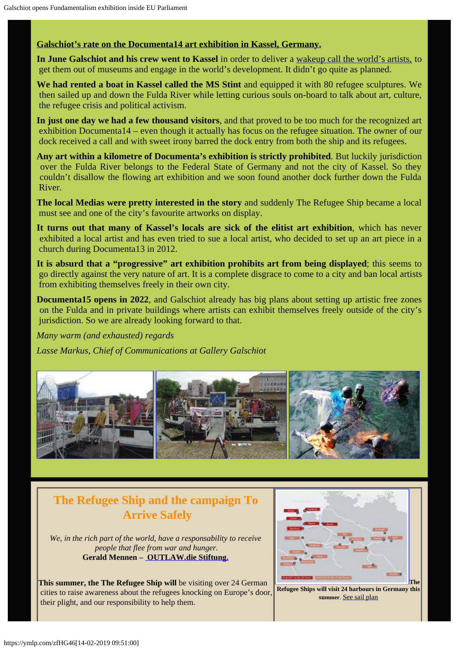#### **[Galschiot's rate on the Documenta14 art exhibition in Kassel, Germany.](http://www.galschiot.com/documenta14/)**

**In June Galschiot and his crew went to Kassel** in order to deliver a [wakeup call the world's artists,](http://www.galschiot.com/wp-content/uploads/2017/06/documenta_manifesto_GB_Final.pdf) to get them out of museums and engage in the world's development. It didn't go quite as planned.

**We had rented a boat in Kassel called the MS Stint** and equipped it with 80 refugee sculptures. We then sailed up and down the Fulda River while letting curious souls on-board to talk about art, culture, the refugee crisis and political activism.

**In just one day we had a few thousand visitors**, and that proved to be too much for the recognized art exhibition Documenta14 – even though it actually has focus on the refugee situation. The owner of our dock received a call and with sweet irony barred the dock entry from both the ship and its refugees.

**Any art within a kilometre of Documenta's exhibition is strictly prohibited**. But luckily jurisdiction over the Fulda River belongs to the Federal State of Germany and not the city of Kassel. So they couldn't disallow the flowing art exhibition and we soon found another dock further down the Fulda River.

**The local Medias were pretty interested in the story** and suddenly The Refugee Ship became a local must see and one of the city's favourite artworks on display.

**It turns out that many of Kassel's locals are sick of the elitist art exhibition**, which has never exhibited a local artist and has even tried to sue a local artist, who decided to set up an art piece in a church during Documenta13 in 2012.

**It is absurd that a "progressive" art exhibition prohibits art from being displayed**; this seems to go directly against the very nature of art. It is a complete disgrace to come to a city and ban local artists from exhibiting themselves freely in their own city.

**Documenta15 opens in 2022**, and Galschiot already has big plans about setting up artistic free zones on the Fulda and in private buildings where artists can exhibit themselves freely outside of the city's jurisdiction. So we are already looking forward to that.

*Many warm (and exhausted) regards*

*Lasse Markus, Chief of Communications at Gallery Galschiot*



## **The Refugee Ship and the campaign To Arrive Safely**

*We, in the rich part of the world, have a responsability to receive people that flee from war and hunger.* **Gerald Mennen – [OUTLAW.die Stiftung.](http://www.outlaw-diestiftung.de/aktivitaeten/veranstaltungen/mit-sicherheit-gut-ankommen/)**

**This summer, the The Refugee Ship will** be visiting over 24 German cities to raise awareness about the refugees knocking on Europe's door, their plight, and our responsibility to help them.



 **Refugee Ships will visit 24 harbours in Germany this summer**. [See sail plan](http://www.outlaw-diestiftung.de/aktivitaeten/veranstaltungen/mit-sicherheit-gut-ankommen/die-route/#c145)